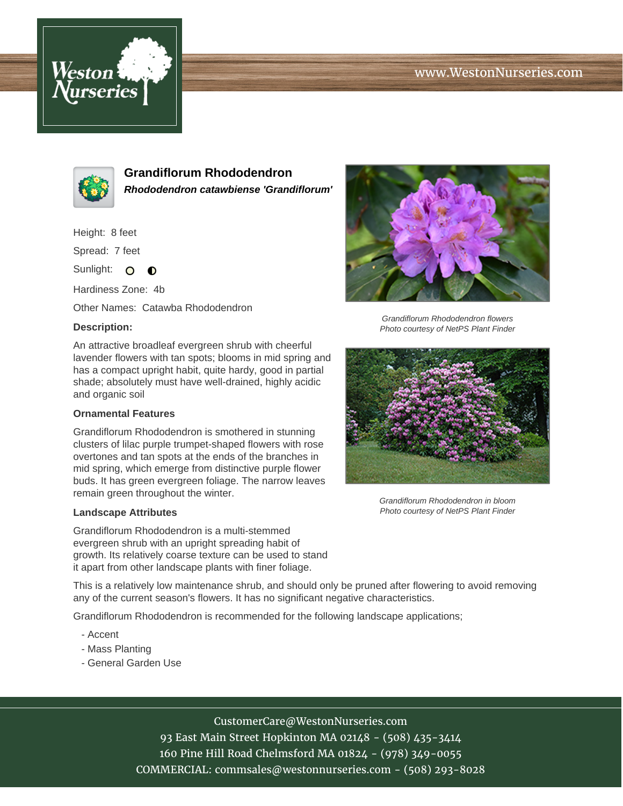# www.WestonNurseries.com





**Grandiflorum Rhododendron Rhododendron catawbiense 'Grandiflorum'**

Height: 8 feet

Spread: 7 feet

Sunlight: O **O** 

Hardiness Zone: 4b

Other Names: Catawba Rhododendron

### **Description:**

An attractive broadleaf evergreen shrub with cheerful lavender flowers with tan spots; blooms in mid spring and has a compact upright habit, quite hardy, good in partial shade; absolutely must have well-drained, highly acidic and organic soil

#### **Ornamental Features**

Grandiflorum Rhododendron is smothered in stunning clusters of lilac purple trumpet-shaped flowers with rose overtones and tan spots at the ends of the branches in mid spring, which emerge from distinctive purple flower buds. It has green evergreen foliage. The narrow leaves remain green throughout the winter.

#### **Landscape Attributes**

Grandiflorum Rhododendron is a multi-stemmed evergreen shrub with an upright spreading habit of growth. Its relatively coarse texture can be used to stand it apart from other landscape plants with finer foliage.

This is a relatively low maintenance shrub, and should only be pruned after flowering to avoid removing any of the current season's flowers. It has no significant negative characteristics.

Grandiflorum Rhododendron is recommended for the following landscape applications;

- Accent
- Mass Planting
- General Garden Use



Grandiflorum Rhododendron flowers Photo courtesy of NetPS Plant Finder



Grandiflorum Rhododendron in bloom Photo courtesy of NetPS Plant Finder

CustomerCare@WestonNurseries.com

93 East Main Street Hopkinton MA 02148 - (508) 435-3414 160 Pine Hill Road Chelmsford MA 01824 - (978) 349-0055 COMMERCIAL: commsales@westonnurseries.com - (508) 293-8028